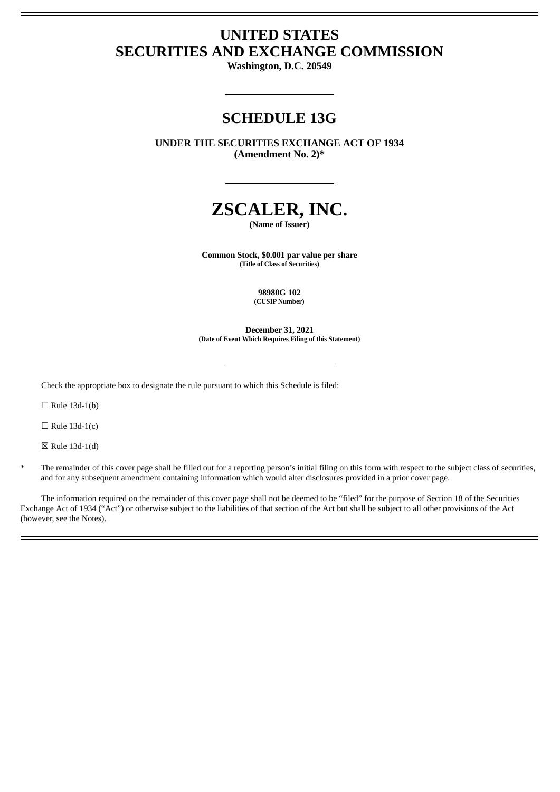# **UNITED STATES SECURITIES AND EXCHANGE COMMISSION**

**Washington, D.C. 20549**

# **SCHEDULE 13G**

**UNDER THE SECURITIES EXCHANGE ACT OF 1934 (Amendment No. 2)\***



**(Name of Issuer)**

**Common Stock, \$0.001 par value per share (Title of Class of Securities)**

> **98980G 102 (CUSIP Number)**

**December 31, 2021 (Date of Event Which Requires Filing of this Statement)**

Check the appropriate box to designate the rule pursuant to which this Schedule is filed:

 $\Box$  Rule 13d-1(b)

 $\Box$  Rule 13d-1(c)

☒ Rule 13d-1(d)

The remainder of this cover page shall be filled out for a reporting person's initial filing on this form with respect to the subject class of securities, and for any subsequent amendment containing information which would alter disclosures provided in a prior cover page.

The information required on the remainder of this cover page shall not be deemed to be "filed" for the purpose of Section 18 of the Securities Exchange Act of 1934 ("Act") or otherwise subject to the liabilities of that section of the Act but shall be subject to all other provisions of the Act (however, see the Notes).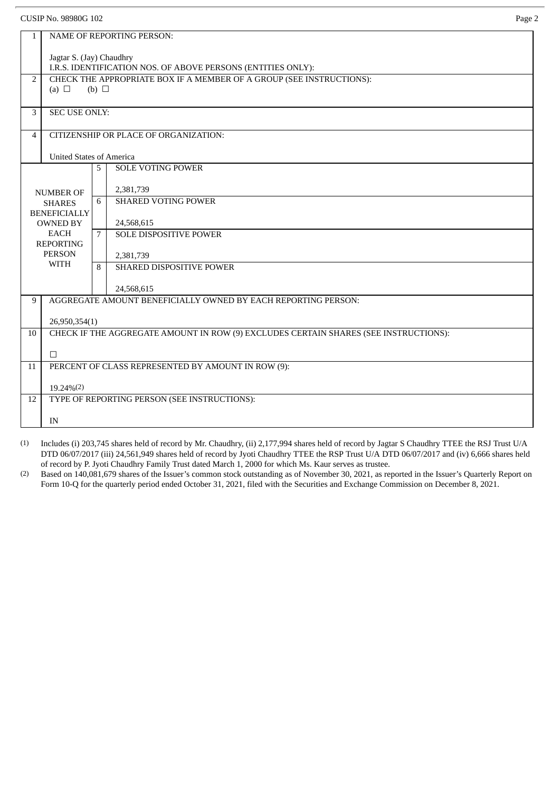CUSIP No. 98980G 102 Page 2 1 NAME OF REPORTING PERSON: Jagtar S. (Jay) Chaudhry I.R.S. IDENTIFICATION NOS. OF ABOVE PERSONS (ENTITIES ONLY): 2 CHECK THE APPROPRIATE BOX IF A MEMBER OF A GROUP (SEE INSTRUCTIONS):  $(a) \Box$  (b)  $\Box$ 3 SEC USE ONLY: 4 CITIZENSHIP OR PLACE OF ORGANIZATION: United States of America NUMBER OF SHARES BENEFICIALLY OWNED BY EACH REPORTING PERSON WITH 5 SOLE VOTING POWER 2,381,739 6 SHARED VOTING POWER 24,568,615 7 SOLE DISPOSITIVE POWER 2,381,739 8 SHARED DISPOSITIVE POWER 24,568,615 9 | AGGREGATE AMOUNT BENEFICIALLY OWNED BY EACH REPORTING PERSON: 26,950,354(1) 10 CHECK IF THE AGGREGATE AMOUNT IN ROW (9) EXCLUDES CERTAIN SHARES (SEE INSTRUCTIONS): ☐ 11 PERCENT OF CLASS REPRESENTED BY AMOUNT IN ROW (9): 19.24%(2) 12 TYPE OF REPORTING PERSON (SEE INSTRUCTIONS): IN

(1) Includes (i) 203,745 shares held of record by Mr. Chaudhry, (ii) 2,177,994 shares held of record by Jagtar S Chaudhry TTEE the RSJ Trust U/A DTD 06/07/2017 (iii) 24,561,949 shares held of record by Jyoti Chaudhry TTEE the RSP Trust U/A DTD 06/07/2017 and (iv) 6,666 shares held of record by P. Jyoti Chaudhry Family Trust dated March 1, 2000 for which Ms. Kaur serves as trustee.

(2) Based on 140,081,679 shares of the Issuer's common stock outstanding as of November 30, 2021, as reported in the Issuer's Quarterly Report on Form 10-Q for the quarterly period ended October 31, 2021, filed with the Securities and Exchange Commission on December 8, 2021.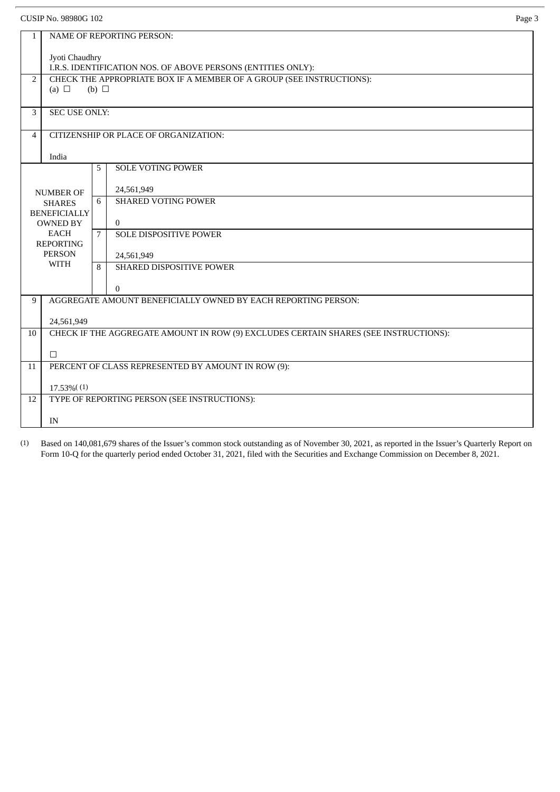CUSIP No. 98980G 102 Page 3

| $\mathbf{1}$        | <b>NAME OF REPORTING PERSON:</b>                                                                 |             |                                        |  |
|---------------------|--------------------------------------------------------------------------------------------------|-------------|----------------------------------------|--|
|                     | Jyoti Chaudhry                                                                                   |             |                                        |  |
|                     | I.R.S. IDENTIFICATION NOS. OF ABOVE PERSONS (ENTITIES ONLY):                                     |             |                                        |  |
| $\overline{2}$      | CHECK THE APPROPRIATE BOX IF A MEMBER OF A GROUP (SEE INSTRUCTIONS):<br>(a) $\Box$<br>(b) $\Box$ |             |                                        |  |
|                     |                                                                                                  |             |                                        |  |
| 3                   | <b>SEC USE ONLY:</b>                                                                             |             |                                        |  |
| $\overline{4}$      | CITIZENSHIP OR PLACE OF ORGANIZATION:                                                            |             |                                        |  |
|                     |                                                                                                  | India       |                                        |  |
|                     |                                                                                                  | 5           | <b>SOLE VOTING POWER</b>               |  |
| <b>NUMBER OF</b>    |                                                                                                  |             | 24,561,949                             |  |
| <b>SHARES</b>       |                                                                                                  | 6           | <b>SHARED VOTING POWER</b>             |  |
| <b>BENEFICIALLY</b> |                                                                                                  |             |                                        |  |
|                     | <b>OWNED BY</b><br><b>EACH</b>                                                                   | $7^{\circ}$ | $\mathbf{0}$<br>SOLE DISPOSITIVE POWER |  |
| <b>REPORTING</b>    |                                                                                                  |             |                                        |  |
|                     | <b>PERSON</b><br><b>WITH</b>                                                                     |             | 24,561,949                             |  |
|                     |                                                                                                  | 8           | SHARED DISPOSITIVE POWER               |  |
|                     |                                                                                                  |             | $\mathbf{0}$                           |  |
| 9                   | AGGREGATE AMOUNT BENEFICIALLY OWNED BY EACH REPORTING PERSON:                                    |             |                                        |  |
|                     | 24,561,949                                                                                       |             |                                        |  |
| 10                  | CHECK IF THE AGGREGATE AMOUNT IN ROW (9) EXCLUDES CERTAIN SHARES (SEE INSTRUCTIONS):             |             |                                        |  |
|                     | □                                                                                                |             |                                        |  |
| 11                  | PERCENT OF CLASS REPRESENTED BY AMOUNT IN ROW (9):                                               |             |                                        |  |
|                     | 17.53% (1)                                                                                       |             |                                        |  |
| 12                  | TYPE OF REPORTING PERSON (SEE INSTRUCTIONS):                                                     |             |                                        |  |
|                     |                                                                                                  |             |                                        |  |
|                     | IN                                                                                               |             |                                        |  |

 $(1)$  Based on 140,081,679 shares of the Issuer's common stock outstanding as of November 30, 2021, as reported in the Issuer's Quarterly Report on Form 10-Q for the quarterly period ended October 31, 2021, filed with the Securities and Exchange Commission on December 8, 2021.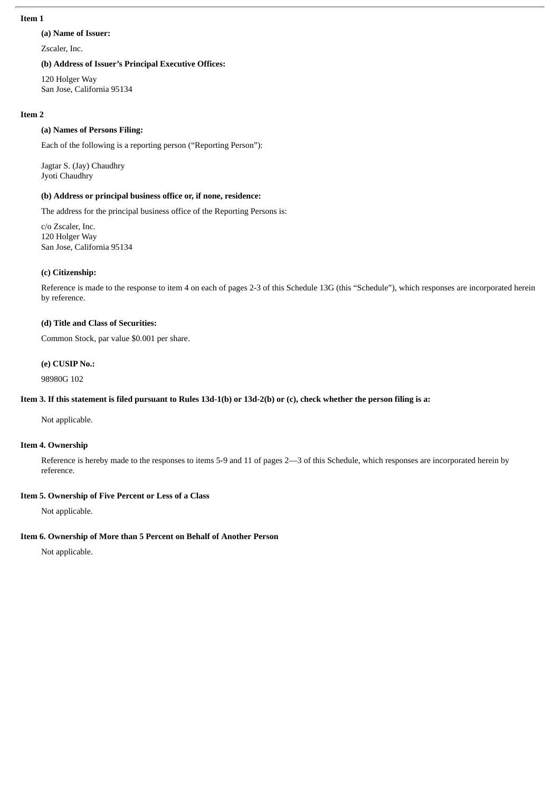#### **Item 1**

#### **(a) Name of Issuer:**

Zscaler, Inc.

#### **(b) Address of Issuer's Principal Executive Offices:**

120 Holger Way San Jose, California 95134

#### **Item 2**

#### **(a) Names of Persons Filing:**

Each of the following is a reporting person ("Reporting Person"):

Jagtar S. (Jay) Chaudhry Jyoti Chaudhry

## **(b) Address or principal business office or, if none, residence:**

The address for the principal business office of the Reporting Persons is:

c/o Zscaler, Inc. 120 Holger Way San Jose, California 95134

### **(c) Citizenship:**

Reference is made to the response to item 4 on each of pages 2-3 of this Schedule 13G (this "Schedule"), which responses are incorporated herein by reference.

#### **(d) Title and Class of Securities:**

Common Stock, par value \$0.001 per share.

#### **(e) CUSIP No.:**

98980G 102

## Item 3. If this statement is filed pursuant to Rules 13d-1(b) or 13d-2(b) or (c), check whether the person filing is a:

Not applicable.

#### **Item 4. Ownership**

Reference is hereby made to the responses to items 5-9 and 11 of pages 2—3 of this Schedule, which responses are incorporated herein by reference.

#### **Item 5. Ownership of Five Percent or Less of a Class**

Not applicable.

#### **Item 6. Ownership of More than 5 Percent on Behalf of Another Person**

Not applicable.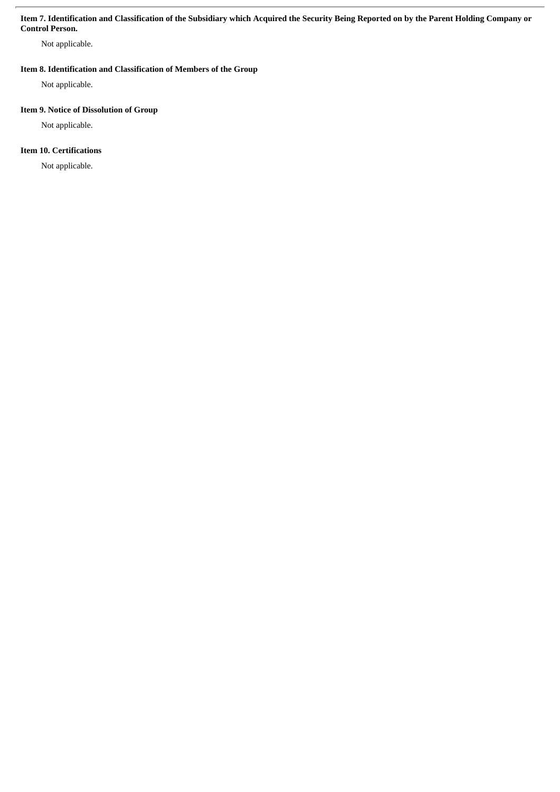#### Item 7. Identification and Classification of the Subsidiary which Acquired the Security Being Reported on by the Parent Holding Company or **Control Person.**

Not applicable.

## **Item 8. Identification and Classification of Members of the Group**

Not applicable.

## **Item 9. Notice of Dissolution of Group**

Not applicable.

# **Item 10. Certifications**

Not applicable.